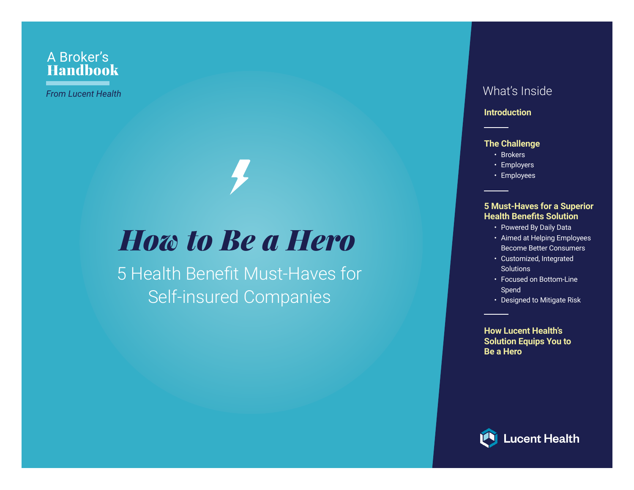#### A Broker's Handbook

### *How to Be a Hero*

5 Health Benefit Must-Haves for Self-insured Companies

#### *From Lucent Health* What's Inside

#### **Introduction**

#### **The Challenge**

- Brokers
- Employers
- Employees

#### **5 Must-Haves for a Superior Health Benefits Solution**

- Powered By Daily Data
- Aimed at Helping Employees Become Better Consumers
- Customized, Integrated **Solutions**
- Focused on Bottom-Line Spend
- Designed to Mitigate Risk

**How Lucent Health's Solution Equips You to Be a Hero**

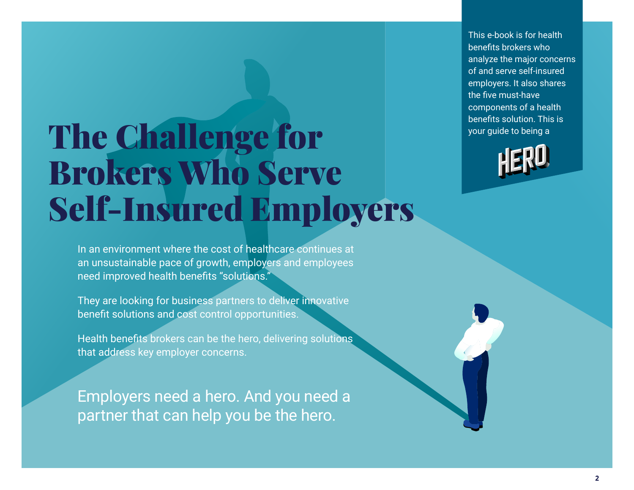This e-book is for health benefits brokers who analyze the major concerns of and serve self-insured employers. It also shares the five must-have components of a health benefits solution. This is your guide to being a

## The Challenge for Brokers Who Serve Self-Insured Employers

In an environment where the cost of healthcare continues at an unsustainable pace of growth, employers and employees need improved health benefits "solutions."

They are looking for business partners to deliver innovative benefit solutions and cost control opportunities.

Health benefits brokers can be the hero, delivering solutions that address key employer concerns.

Employers need a hero. And you need a partner that can help you be the hero.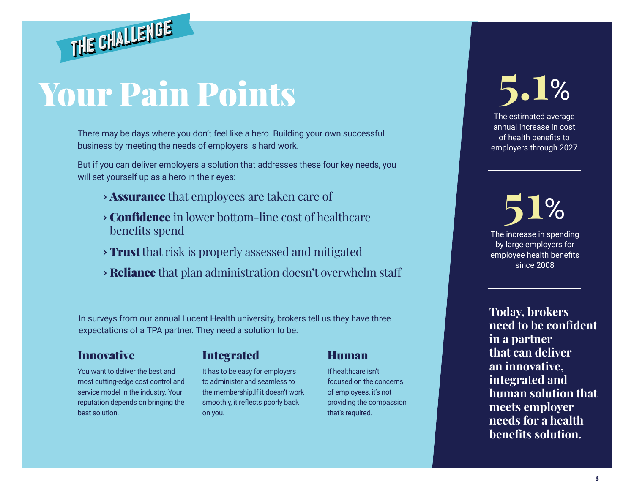## Your Pain Points

THE CHALLENGE

There may be days where you don't feel like a hero. Building your own successful business by meeting the needs of employers is hard work.

But if you can deliver employers a solution that addresses these four key needs, you will set yourself up as a hero in their eyes:

- **›** Assurance that employees are taken care of
- **›** Confidence in lower bottom-line cost of healthcare benefits spend
- **›** Trust that risk is properly assessed and mitigated
- **›** Reliance that plan administration doesn't overwhelm staff

In surveys from our annual Lucent Health university, brokers tell us they have three expectations of a TPA partner. They need a solution to be:

#### Innovative

You want to deliver the best and most cutting-edge cost control and service model in the industry. Your reputation depends on bringing the best solution.

#### Integrated

It has to be easy for employers to administer and seamless to the membership.If it doesn't work smoothly, it reflects poorly back on you.

#### Human

If healthcare isn't focused on the concerns of employees, it's not providing the compassion that's required.

# **5.1**%

The estimated average annual increase in cost of health benefits to employers through 2027

The increase in spending by large employers for employee health benefits since 2008 **51**%

**Today, brokers need to be confident in a partner that can deliver an innovative, integrated and human solution that meets employer needs for a health benefits solution.**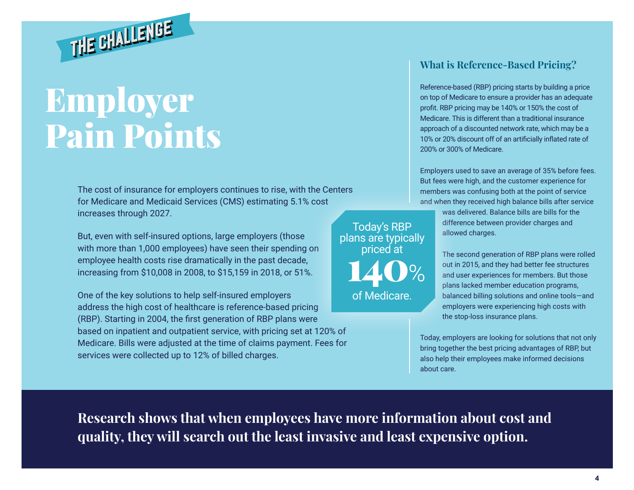

THE CHALLENGE

The cost of insurance for employers continues to rise, with the Centers for Medicare and Medicaid Services (CMS) estimating 5.1% cost increases through 2027.

But, even with self-insured options, large employers (those with more than 1,000 employees) have seen their spending on employee health costs rise dramatically in the past decade, increasing from \$10,008 in 2008, to \$15,159 in 2018, or 51%.

One of the key solutions to help self-insured employers address the high cost of healthcare is reference-based pricing (RBP). Starting in 2004, the first generation of RBP plans were based on inpatient and outpatient service, with pricing set at 120% of Medicare. Bills were adjusted at the time of claims payment. Fees for services were collected up to 12% of billed charges.

Today's RBP plans are typically priced at of Medicare.

#### **What is Reference-Based Pricing?**

Reference-based (RBP) pricing starts by building a price on top of Medicare to ensure a provider has an adequate profit. RBP pricing may be 140% or 150% the cost of Medicare. This is different than a traditional insurance approach of a discounted network rate, which may be a 10% or 20% discount off of an artificially inflated rate of 200% or 300% of Medicare.

Employers used to save an average of 35% before fees. But fees were high, and the customer experience for members was confusing both at the point of service and when they received high balance bills after service

> was delivered. Balance bills are bills for the difference between provider charges and allowed charges.

The second generation of RBP plans were rolled out in 2015, and they had better fee structures and user experiences for members. But those plans lacked member education programs, balanced billing solutions and online tools—and employers were experiencing high costs with the stop-loss insurance plans.

Today, employers are looking for solutions that not only bring together the best pricing advantages of RBP, but also help their employees make informed decisions about care.

**Research shows that when employees have more information about cost and quality, they will search out the least invasive and least expensive option.**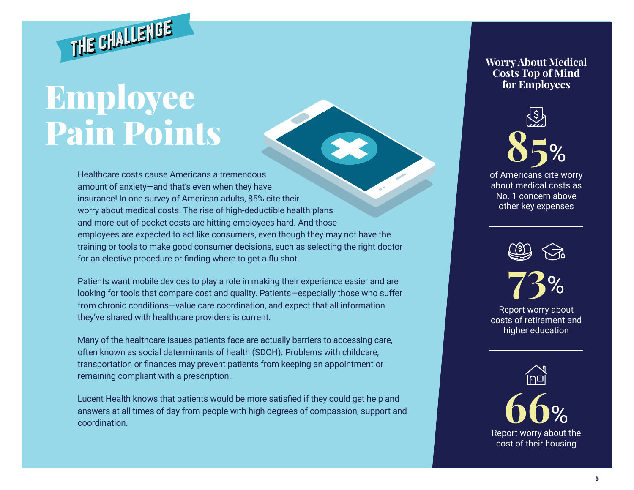

## Employee Pain Points

Healthcare costs cause Americans a tremendous amount of anxiety—and that's even when they have insurance! In one survey of American adults, 85% cite their worry about medical costs. The rise of high-deductible health plans and more out-of-pocket costs are hitting employees hard. And those employees are expected to act like consumers, even though they may not have the training or tools to make good consumer decisions, such as selecting the right doctor for an elective procedure or finding where to get a flu shot.

Patients want mobile devices to play a role in making their experience easier and are looking for tools that compare cost and quality. Patients—especially those who suffer from chronic conditions—value care coordination, and expect that all information they've shared with healthcare providers is current.

Many of the healthcare issues patients face are actually barriers to accessing care, often known as social determinants of health (SDOH). Problems with childcare, transportation or finances may prevent patients from keeping an appointment or remaining compliant with a prescription.

Lucent Health knows that patients would be more satisfied if they could get help and answers at all times of day from people with high degrees of compassion, support and coordination.

**Worry About Medical Costs Top of Mind for Employees**



of Americans cite worry about medical costs as No. 1 concern above other key expenses





Report worry about costs of retirement and higher education

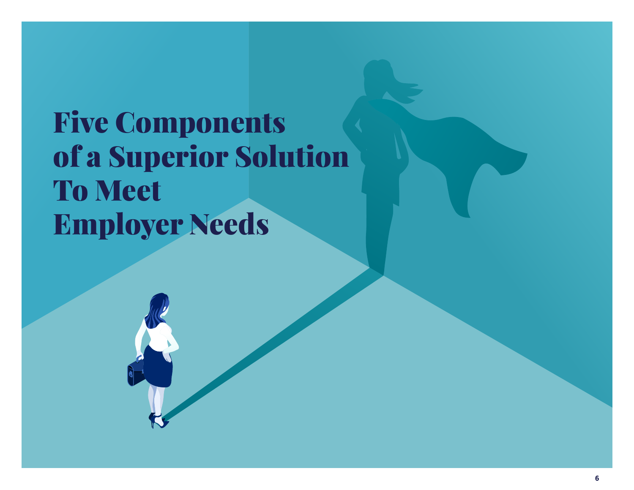### Five Components of a Superior Solution To Meet Employer Needs

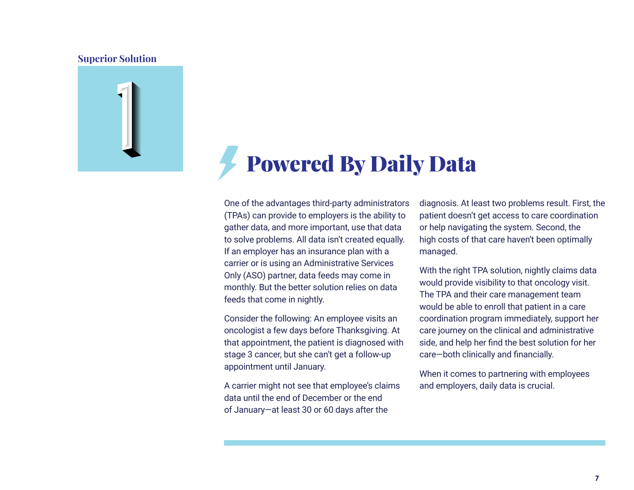

### Powered By Daily Data

One of the advantages third-party administrators (TPAs) can provide to employers is the ability to gather data, and more important, use that data to solve problems. All data isn't created equally. If an employer has an insurance plan with a carrier or is using an Administrative Services Only (ASO) partner, data feeds may come in monthly. But the better solution relies on data feeds that come in nightly.

Consider the following: An employee visits an oncologist a few days before Thanksgiving. At that appointment, the patient is diagnosed with stage 3 cancer, but she can't get a follow-up appointment until January.

A carrier might not see that employee's claims data until the end of December or the end of January—at least 30 or 60 days after the

diagnosis. At least two problems result. First, the patient doesn't get access to care coordination or help navigating the system. Second, the high costs of that care haven't been optimally managed.

With the right TPA solution, nightly claims data would provide visibility to that oncology visit. The TPA and their care management team would be able to enroll that patient in a care coordination program immediately, support her care journey on the clinical and administrative side, and help her find the best solution for her care—both clinically and financially.

When it comes to partnering with employees and employers, daily data is crucial.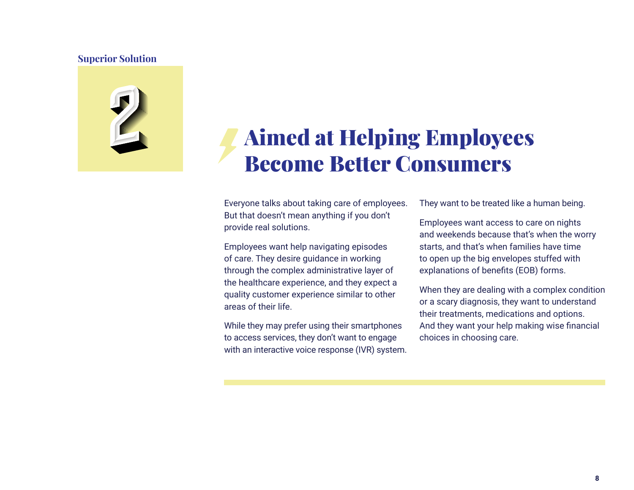

### Aimed at Helping Employees Become Better Consumers

Everyone talks about taking care of employees. But that doesn't mean anything if you don't provide real solutions.

Employees want help navigating episodes of care. They desire guidance in working through the complex administrative layer of the healthcare experience, and they expect a quality customer experience similar to other areas of their life.

While they may prefer using their smartphones to access services, they don't want to engage with an interactive voice response (IVR) system. They want to be treated like a human being.

Employees want access to care on nights and weekends because that's when the worry starts, and that's when families have time to open up the big envelopes stuffed with explanations of benefits (EOB) forms.

When they are dealing with a complex condition or a scary diagnosis, they want to understand their treatments, medications and options. And they want your help making wise financial choices in choosing care.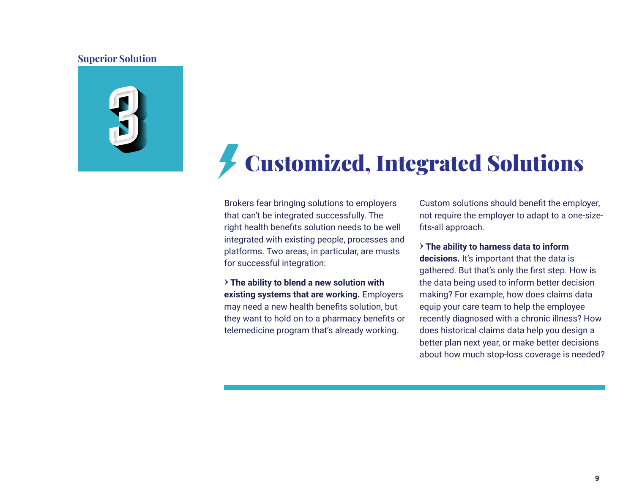

### Customized, Integrated Solutions

Brokers fear bringing solutions to employers that can't be integrated successfully. The right health benefits solution needs to be well integrated with existing people, processes and platforms. Two areas, in particular, are musts for successful integration:

**› The ability to blend a new solution with existing systems that are working.** Employers may need a new health benefits solution, but they want to hold on to a pharmacy benefits or telemedicine program that's already working.

Custom solutions should benefit the employer, not require the employer to adapt to a one-sizefits-all approach.

**› The ability to harness data to inform decisions.** It's important that the data is gathered. But that's only the first step. How is the data being used to inform better decision making? For example, how does claims data equip your care team to help the employee recently diagnosed with a chronic illness? How does historical claims data help you design a better plan next year, or make better decisions about how much stop-loss coverage is needed?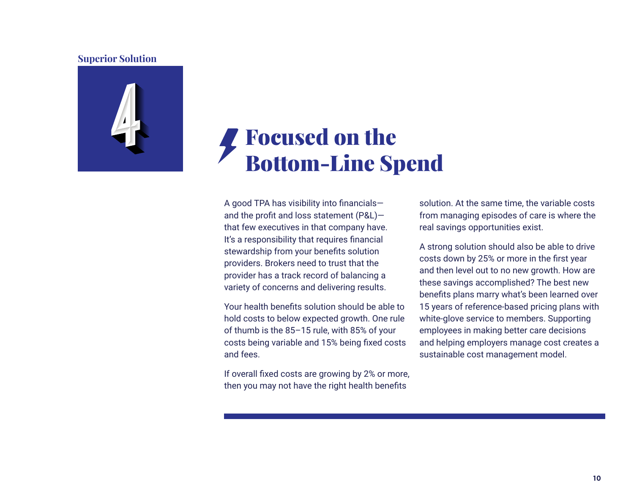

### Focused on the Bottom-Line Spend

A good TPA has visibility into financials and the profit and loss statement (P&L) that few executives in that company have. It's a responsibility that requires financial stewardship from your benefits solution providers. Brokers need to trust that the provider has a track record of balancing a variety of concerns and delivering results.

Your health benefits solution should be able to hold costs to below expected growth. One rule of thumb is the 85–15 rule, with 85% of your costs being variable and 15% being fixed costs and fees.

If overall fixed costs are growing by 2% or more, then you may not have the right health benefits

solution. At the same time, the variable costs from managing episodes of care is where the real savings opportunities exist.

A strong solution should also be able to drive costs down by 25% or more in the first year and then level out to no new growth. How are these savings accomplished? The best new benefits plans marry what's been learned over 15 years of reference-based pricing plans with white-glove service to members. Supporting employees in making better care decisions and helping employers manage cost creates a sustainable cost management model.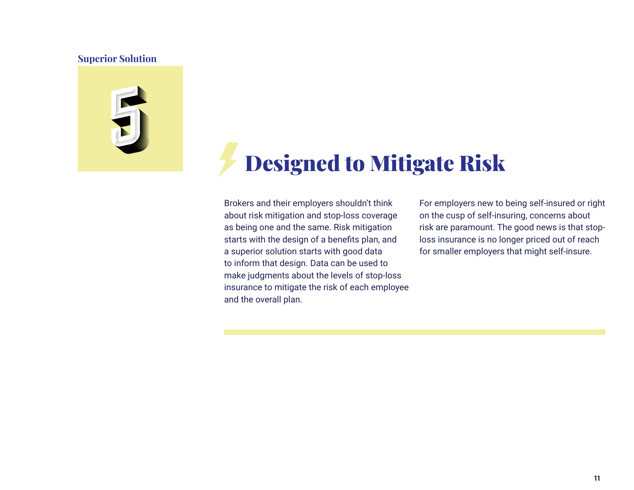

### Designed to Mitigate Risk

Brokers and their employers shouldn't think about risk mitigation and stop-loss coverage as being one and the same. Risk mitigation starts with the design of a benefits plan, and a superior solution starts with good data to inform that design. Data can be used to make judgments about the levels of stop-loss insurance to mitigate the risk of each employee and the overall plan.

For employers new to being self-insured or right on the cusp of self-insuring, concerns about risk are paramount. The good news is that stoploss insurance is no longer priced out of reach for smaller employers that might self-insure.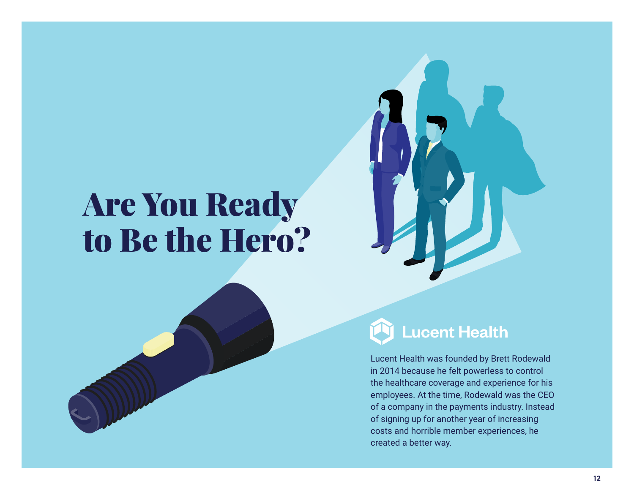## Are You Ready to Be the Hero?





### **Lucent Health**

Lucent Health was founded by Brett Rodewald in 2014 because he felt powerless to control the healthcare coverage and experience for his employees. At the time, Rodewald was the CEO of a company in the payments industry. Instead of signing up for another year of increasing costs and horrible member experiences, he created a better way.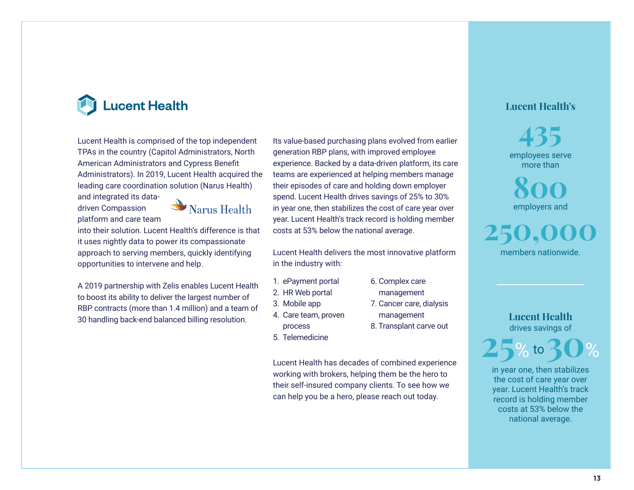

Lucent Health is comprised of the top independent TPAs in the country (Capitol Administrators, North American Administrators and Cypress Benefit Administrators). In 2019, Lucent Health acquired the leading care coordination solution (Narus Health) and integrated its data-

driven Compassion platform and care team



into their solution. Lucent Health's difference is that it uses nightly data to power its compassionate approach to serving members, quickly identifying opportunities to intervene and help.

A 2019 partnership with Zelis enables Lucent Health to boost its ability to deliver the largest number of RBP contracts (more than 1.4 million) and a team of 30 handling back-end balanced billing resolution.

Its value-based purchasing plans evolved from earlier generation RBP plans, with improved employee experience. Backed by a data-driven platform, its care teams are experienced at helping members manage their episodes of care and holding down employer spend. Lucent Health drives savings of 25% to 30% in year one, then stabilizes the cost of care year over year. Lucent Health's track record is holding member costs at 53% below the national average.

Lucent Health delivers the most innovative platform in the industry with:

> 6. Complex care management 7. Cancer care, dialysis management 8. Transplant carve out

- 1. ePayment portal
- 2. HR Web portal
- 3. Mobile app
- 4. Care team, proven
	- process
- 5. Telemedicine

Lucent Health has decades of combined experience working with brokers, helping them be the hero to their self-insured company clients. To see how we can help you be a hero, please reach out today.

#### **Lucent Health's**

employees serve more than **435**

**800** employers and

**250,000** members nationwide.

> **Lucent Health**  drives savings of



in year one, then stabilizes the cost of care year over year. Lucent Health's track record is holding member costs at 53% below the national average.